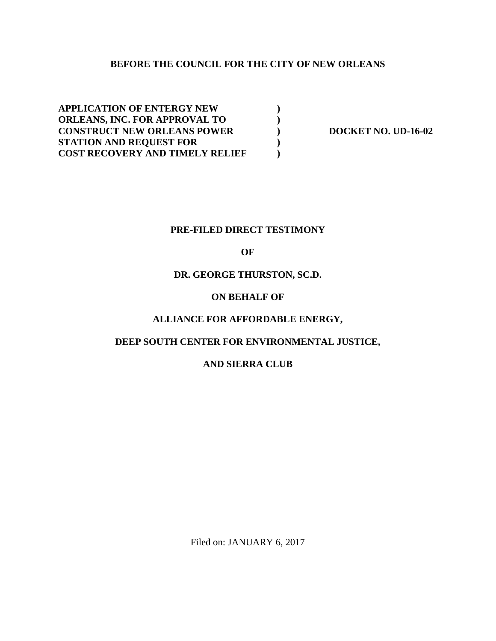# **BEFORE THE COUNCIL FOR THE CITY OF NEW ORLEANS**

**) ) ) ) )**

**APPLICATION OF ENTERGY NEW ORLEANS, INC. FOR APPROVAL TO CONSTRUCT NEW ORLEANS POWER STATION AND REQUEST FOR COST RECOVERY AND TIMELY RELIEF**

**DOCKET NO. UD-16-02**

### **PRE-FILED DIRECT TESTIMONY**

## **OF**

### **DR. GEORGE THURSTON, SC.D.**

### **ON BEHALF OF**

### **ALLIANCE FOR AFFORDABLE ENERGY,**

# **DEEP SOUTH CENTER FOR ENVIRONMENTAL JUSTICE,**

### **AND SIERRA CLUB**

Filed on: JANUARY 6, 2017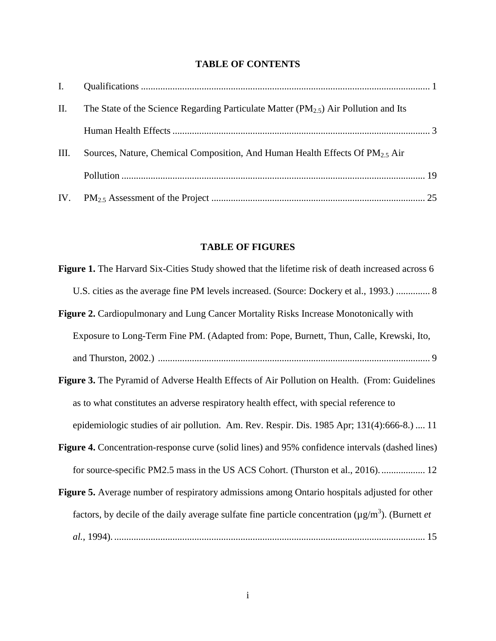# **TABLE OF CONTENTS**

| П.   | The State of the Science Regarding Particulate Matter ( $PM2.5$ ) Air Pollution and Its  |  |
|------|------------------------------------------------------------------------------------------|--|
|      |                                                                                          |  |
| III. | Sources, Nature, Chemical Composition, And Human Health Effects Of PM <sub>2.5</sub> Air |  |
|      |                                                                                          |  |
| IV.  |                                                                                          |  |

# **TABLE OF FIGURES**

| Figure 1. The Harvard Six-Cities Study showed that the lifetime risk of death increased across 6                           |  |
|----------------------------------------------------------------------------------------------------------------------------|--|
| U.S. cities as the average fine PM levels increased. (Source: Dockery et al., 1993.)  8                                    |  |
| Figure 2. Cardiopulmonary and Lung Cancer Mortality Risks Increase Monotonically with                                      |  |
| Exposure to Long-Term Fine PM. (Adapted from: Pope, Burnett, Thun, Calle, Krewski, Ito,                                    |  |
|                                                                                                                            |  |
| Figure 3. The Pyramid of Adverse Health Effects of Air Pollution on Health. (From: Guidelines                              |  |
| as to what constitutes an adverse respiratory health effect, with special reference to                                     |  |
| epidemiologic studies of air pollution. Am. Rev. Respir. Dis. 1985 Apr; 131(4):666-8.)  11                                 |  |
| <b>Figure 4.</b> Concentration-response curve (solid lines) and 95% confidence intervals (dashed lines)                    |  |
| for source-specific PM2.5 mass in the US ACS Cohort. (Thurston et al., 2016).  12                                          |  |
| Figure 5. Average number of respiratory admissions among Ontario hospitals adjusted for other                              |  |
| factors, by decile of the daily average sulfate fine particle concentration ( $\mu$ g/m <sup>3</sup> ). (Burnett <i>et</i> |  |
|                                                                                                                            |  |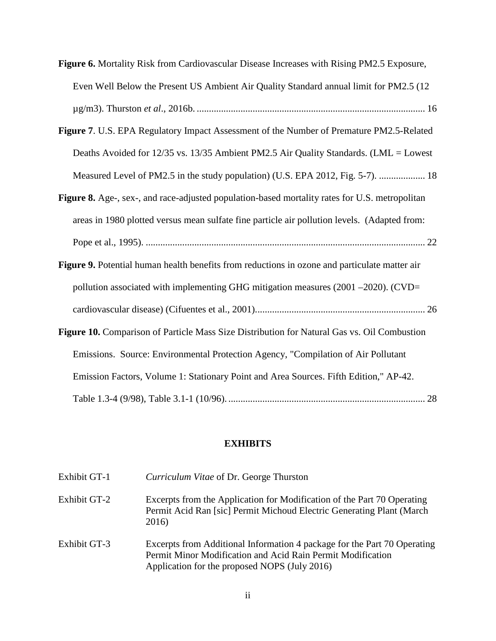**Figure 6.** [Mortality Risk from Cardiovascular Disease Increases with Rising PM2.5 Exposure,](#page-18-0)  [Even Well Below the Present US Ambient Air Quality Standard annual limit for PM2.5 \(12](#page-18-0)  µg/m3). Thurston *et al*., 2016b. [..............................................................................................](#page-18-0) 16

- **Figure 7**[. U.S. EPA Regulatory Impact Assessment of the Number of Premature PM2.5-Related](#page-20-0)  [Deaths Avoided for 12/35 vs. 13/35 Ambient PM2.5 Air Quality Standards. \(LML = Lowest](#page-20-0)  [Measured Level of PM2.5 in the study population\) \(U.S. EPA 2012, Fig. 5-7\).](#page-20-0) ................... 18
- **Figure 8.** [Age-, sex-, and race-adjusted population-based mortality rates for U.S. metropolitan](#page-24-0)  [areas in 1980 plotted versus mean sulfate fine particle air pollution levels. \(Adapted from:](#page-24-0)  Pope et al., 1995). [...................................................................................................................](#page-24-0) 22
- **Figure 9.** Potential human health benefits from reductions in ozone and particulate matter air pollution associated with implementing GHG mitigation measures (2001 – 2020). (CVD= [cardiovascular disease\) \(Cifuentes et al., 2001\)......................................................................](#page-28-0) 26
- **Figure 10.** [Comparison of Particle Mass Size Distribution for Natural Gas vs. Oil Combustion](#page-30-0)  [Emissions. Source: Environmental Protection Agency, "Compilation of Air Pollutant](#page-30-0)  [Emission Factors, Volume 1: Stationary Point and Area Sources. Fifth Edition," AP-42.](#page-30-0)  Table 1.3-4 (9/98), Table 3.1-1 (10/96). [.................................................................................](#page-30-0) 28

#### **EXHIBITS**

| Exhibit GT-1 | <i>Curriculum Vitae</i> of Dr. George Thurston                                                                                                                                           |
|--------------|------------------------------------------------------------------------------------------------------------------------------------------------------------------------------------------|
| Exhibit GT-2 | Excerpts from the Application for Modification of the Part 70 Operating<br>Permit Acid Ran [sic] Permit Michoud Electric Generating Plant (March<br>2016)                                |
| Exhibit GT-3 | Excerpts from Additional Information 4 package for the Part 70 Operating<br>Permit Minor Modification and Acid Rain Permit Modification<br>Application for the proposed NOPS (July 2016) |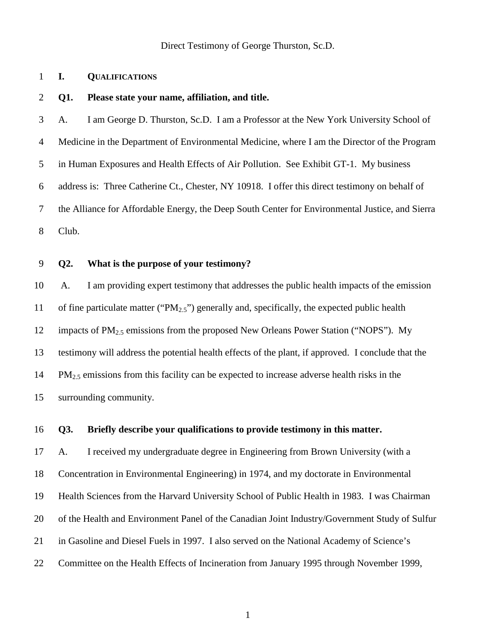### <span id="page-3-0"></span>**I. QUALIFICATIONS**

#### **Q1. Please state your name, affiliation, and title.**

 A. I am George D. Thurston, Sc.D. I am a Professor at the New York University School of Medicine in the Department of Environmental Medicine, where I am the Director of the Program in Human Exposures and Health Effects of Air Pollution. See Exhibit GT-1. My business address is: Three Catherine Ct., Chester, NY 10918. I offer this direct testimony on behalf of the Alliance for Affordable Energy, the Deep South Center for Environmental Justice, and Sierra Club.

# **Q2. What is the purpose of your testimony?**

 A. I am providing expert testimony that addresses the public health impacts of the emission 11 of fine particulate matter (" $PM_{2.5}$ ") generally and, specifically, the expected public health 12 impacts of  $PM_{2.5}$  emissions from the proposed New Orleans Power Station ("NOPS"). My testimony will address the potential health effects of the plant, if approved. I conclude that the PM<sub>2.5</sub> emissions from this facility can be expected to increase adverse health risks in the surrounding community.

### **Q3. Briefly describe your qualifications to provide testimony in this matter.**

 A. I received my undergraduate degree in Engineering from Brown University (with a Concentration in Environmental Engineering) in 1974, and my doctorate in Environmental Health Sciences from the Harvard University School of Public Health in 1983. I was Chairman of the Health and Environment Panel of the Canadian Joint Industry/Government Study of Sulfur in Gasoline and Diesel Fuels in 1997. I also served on the National Academy of Science's Committee on the Health Effects of Incineration from January 1995 through November 1999,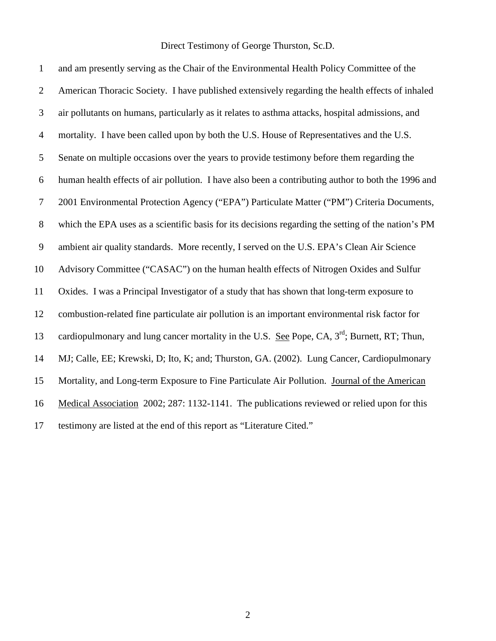| $\mathbf{1}$   | and am presently serving as the Chair of the Environmental Health Policy Committee of the           |
|----------------|-----------------------------------------------------------------------------------------------------|
| $\overline{2}$ | American Thoracic Society. I have published extensively regarding the health effects of inhaled     |
| 3              | air pollutants on humans, particularly as it relates to asthma attacks, hospital admissions, and    |
| $\overline{4}$ | mortality. I have been called upon by both the U.S. House of Representatives and the U.S.           |
| 5              | Senate on multiple occasions over the years to provide testimony before them regarding the          |
| 6              | human health effects of air pollution. I have also been a contributing author to both the 1996 and  |
| $\overline{7}$ | 2001 Environmental Protection Agency ("EPA") Particulate Matter ("PM") Criteria Documents,          |
| $8\,$          | which the EPA uses as a scientific basis for its decisions regarding the setting of the nation's PM |
| 9              | ambient air quality standards. More recently, I served on the U.S. EPA's Clean Air Science          |
| 10             | Advisory Committee ("CASAC") on the human health effects of Nitrogen Oxides and Sulfur              |
| 11             | Oxides. I was a Principal Investigator of a study that has shown that long-term exposure to         |
| 12             | combustion-related fine particulate air pollution is an important environmental risk factor for     |
| 13             | cardiopulmonary and lung cancer mortality in the U.S. See Pope, CA, $3^{rd}$ ; Burnett, RT; Thun,   |
| 14             | MJ; Calle, EE; Krewski, D; Ito, K; and; Thurston, GA. (2002). Lung Cancer, Cardiopulmonary          |
| 15             | Mortality, and Long-term Exposure to Fine Particulate Air Pollution. Journal of the American        |
| 16             | Medical Association 2002; 287: 1132-1141. The publications reviewed or relied upon for this         |
| 17             | testimony are listed at the end of this report as "Literature Cited."                               |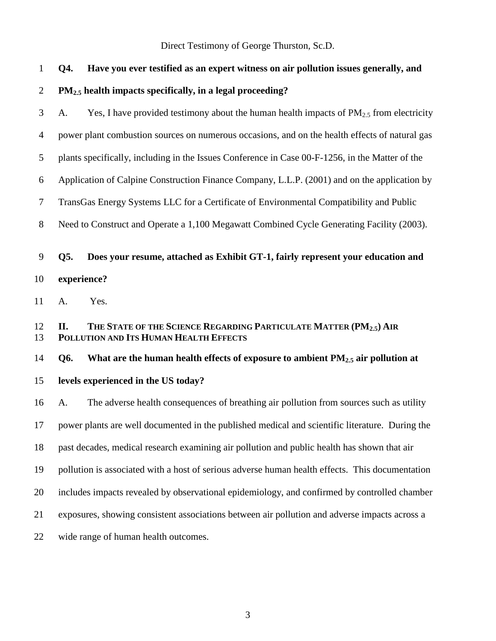<span id="page-5-0"></span>

| $\mathbf{1}$   | Q4. | Have you ever testified as an expert witness on air pollution issues generally, and                         |
|----------------|-----|-------------------------------------------------------------------------------------------------------------|
| $\overline{2}$ |     | $PM_{2.5}$ health impacts specifically, in a legal proceeding?                                              |
| 3              | A.  | Yes, I have provided testimony about the human health impacts of $PM2.5$ from electricity                   |
| $\overline{4}$ |     | power plant combustion sources on numerous occasions, and on the health effects of natural gas              |
| 5              |     | plants specifically, including in the Issues Conference in Case 00-F-1256, in the Matter of the             |
| 6              |     | Application of Calpine Construction Finance Company, L.L.P. (2001) and on the application by                |
| 7              |     | TransGas Energy Systems LLC for a Certificate of Environmental Compatibility and Public                     |
| $8\,$          |     | Need to Construct and Operate a 1,100 Megawatt Combined Cycle Generating Facility (2003).                   |
| 9              | Q5. | Does your resume, attached as Exhibit GT-1, fairly represent your education and                             |
| 10             |     | experience?                                                                                                 |
|                |     |                                                                                                             |
| 11             | A.  | Yes.                                                                                                        |
| 12<br>13       | II. | THE STATE OF THE SCIENCE REGARDING PARTICULATE MATTER (PM2.5) AIR<br>POLLUTION AND ITS HUMAN HEALTH EFFECTS |
| 14             | Q6. | What are the human health effects of exposure to ambient $PM_{2,5}$ air pollution at                        |
| 15             |     | levels experienced in the US today?                                                                         |
| 16             | A.  | The adverse health consequences of breathing air pollution from sources such as utility                     |
| 17             |     | power plants are well documented in the published medical and scientific literature. During the             |
| 18             |     | past decades, medical research examining air pollution and public health has shown that air                 |
| 19             |     | pollution is associated with a host of serious adverse human health effects. This documentation             |
| 20             |     | includes impacts revealed by observational epidemiology, and confirmed by controlled chamber                |
| 21             |     | exposures, showing consistent associations between air pollution and adverse impacts across a               |
| 22             |     | wide range of human health outcomes.                                                                        |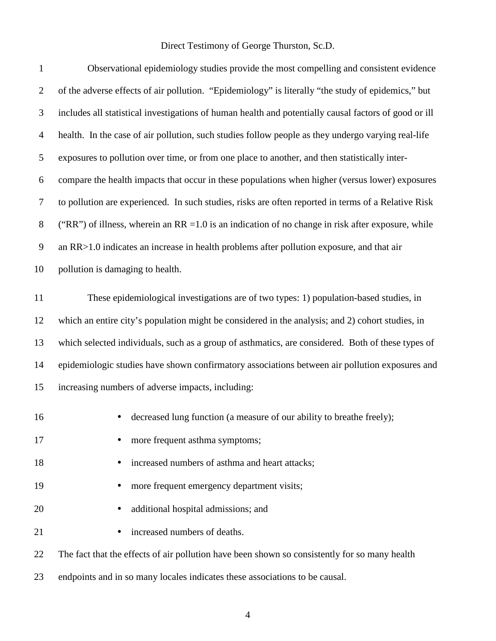| $\mathbf{1}$   | Observational epidemiology studies provide the most compelling and consistent evidence                |
|----------------|-------------------------------------------------------------------------------------------------------|
| $\overline{2}$ | of the adverse effects of air pollution. "Epidemiology" is literally "the study of epidemics," but    |
| $\mathfrak{Z}$ | includes all statistical investigations of human health and potentially causal factors of good or ill |
| $\overline{4}$ | health. In the case of air pollution, such studies follow people as they undergo varying real-life    |
| 5              | exposures to pollution over time, or from one place to another, and then statistically inter-         |
| 6              | compare the health impacts that occur in these populations when higher (versus lower) exposures       |
| $\overline{7}$ | to pollution are experienced. In such studies, risks are often reported in terms of a Relative Risk   |
| $8\,$          | ("RR") of illness, wherein an RR = $1.0$ is an indication of no change in risk after exposure, while  |
| $\mathbf{9}$   | an RR>1.0 indicates an increase in health problems after pollution exposure, and that air             |
| 10             | pollution is damaging to health.                                                                      |
| 11             | These epidemiological investigations are of two types: 1) population-based studies, in                |
| 12             | which an entire city's population might be considered in the analysis; and 2) cohort studies, in      |
| 13             | which selected individuals, such as a group of asthmatics, are considered. Both of these types of     |
| 14             | epidemiologic studies have shown confirmatory associations between air pollution exposures and        |
| 15             | increasing numbers of adverse impacts, including:                                                     |
| 16             | decreased lung function (a measure of our ability to breathe freely);                                 |
| 17             | more frequent asthma symptoms;                                                                        |
| 18             | increased numbers of asthma and heart attacks;                                                        |
| 19             | more frequent emergency department visits;                                                            |
| 20             | additional hospital admissions; and                                                                   |
| 21             | increased numbers of deaths.                                                                          |
| 22             | The fact that the effects of air pollution have been shown so consistently for so many health         |
| 23             | endpoints and in so many locales indicates these associations to be causal.                           |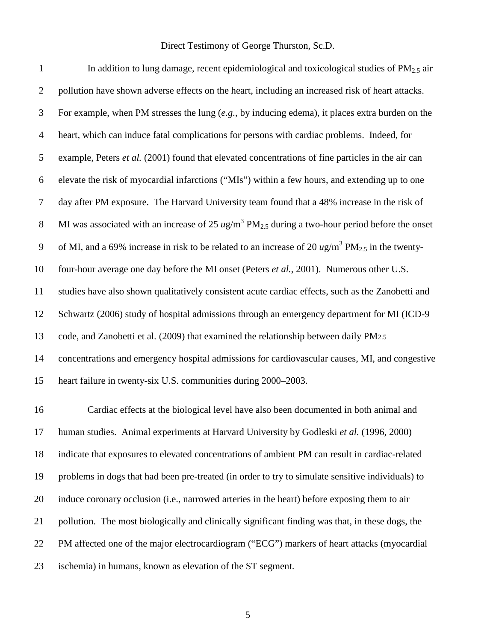| $\mathbf{1}$   | In addition to lung damage, recent epidemiological and toxicological studies of $PM_{2.5}$ air                               |
|----------------|------------------------------------------------------------------------------------------------------------------------------|
| $\overline{2}$ | pollution have shown adverse effects on the heart, including an increased risk of heart attacks.                             |
| 3              | For example, when PM stresses the lung $(e.g., by inducing edema)$ , it places extra burden on the                           |
| $\overline{4}$ | heart, which can induce fatal complications for persons with cardiac problems. Indeed, for                                   |
| 5              | example, Peters et al. (2001) found that elevated concentrations of fine particles in the air can                            |
| 6              | elevate the risk of myocardial infarctions ("MIs") within a few hours, and extending up to one                               |
| $\tau$         | day after PM exposure. The Harvard University team found that a 48% increase in the risk of                                  |
| $8\phantom{.}$ | MI was associated with an increase of 25 $\mu$ g/m <sup>3</sup> PM <sub>2.5</sub> during a two-hour period before the onset  |
| 9              | of MI, and a 69% increase in risk to be related to an increase of 20 $\mu$ g/m <sup>3</sup> PM <sub>2.5</sub> in the twenty- |
| 10             | four-hour average one day before the MI onset (Peters et al., 2001). Numerous other U.S.                                     |
| 11             | studies have also shown qualitatively consistent acute cardiac effects, such as the Zanobetti and                            |
| 12             | Schwartz (2006) study of hospital admissions through an emergency department for MI (ICD-9                                   |
| 13             | code, and Zanobetti et al. (2009) that examined the relationship between daily PM2.5                                         |
| 14             | concentrations and emergency hospital admissions for cardiovascular causes, MI, and congestive                               |
| 15             | heart failure in twenty-six U.S. communities during 2000-2003.                                                               |
| 16             | Cardiac effects at the biological level have also been documented in both animal and                                         |
| 17             | human studies. Animal experiments at Harvard University by Godleski et al. (1996, 2000)                                      |
| 18             | indicate that exposures to elevated concentrations of ambient PM can result in cardiac-related                               |
| 19             | problems in dogs that had been pre-treated (in order to try to simulate sensitive individuals) to                            |
| 20             | induce coronary occlusion (i.e., narrowed arteries in the heart) before exposing them to air                                 |
| 21             | pollution. The most biologically and clinically significant finding was that, in these dogs, the                             |
| 22             | PM affected one of the major electrocardiogram ("ECG") markers of heart attacks (myocardial                                  |
| 23             | ischemia) in humans, known as elevation of the ST segment.                                                                   |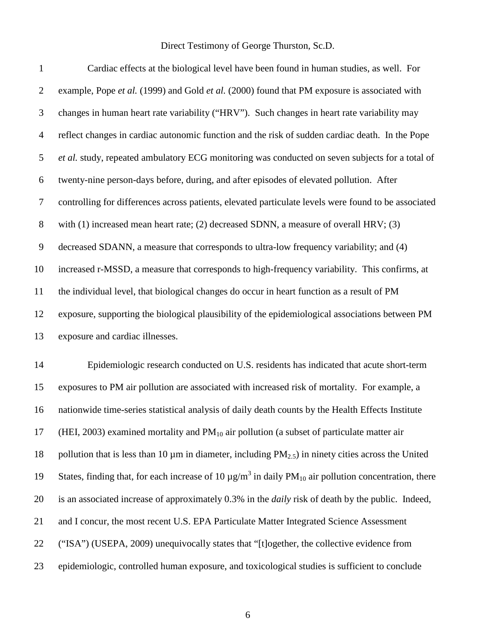| $\mathbf{1}$   | Cardiac effects at the biological level have been found in human studies, as well. For               |
|----------------|------------------------------------------------------------------------------------------------------|
| $\overline{2}$ | example, Pope et al. (1999) and Gold et al. (2000) found that PM exposure is associated with         |
| 3              | changes in human heart rate variability ("HRV"). Such changes in heart rate variability may          |
| 4              | reflect changes in cardiac autonomic function and the risk of sudden cardiac death. In the Pope      |
| 5              | et al. study, repeated ambulatory ECG monitoring was conducted on seven subjects for a total of      |
| 6              | twenty-nine person-days before, during, and after episodes of elevated pollution. After              |
| $\overline{7}$ | controlling for differences across patients, elevated particulate levels were found to be associated |
| 8              | with $(1)$ increased mean heart rate; $(2)$ decreased SDNN, a measure of overall HRV; $(3)$          |
| 9              | decreased SDANN, a measure that corresponds to ultra-low frequency variability; and (4)              |
| 10             | increased r-MSSD, a measure that corresponds to high-frequency variability. This confirms, at        |
| 11             | the individual level, that biological changes do occur in heart function as a result of PM           |
| 12             | exposure, supporting the biological plausibility of the epidemiological associations between PM      |
| 13             | exposure and cardiac illnesses.                                                                      |

 Epidemiologic research conducted on U.S. residents has indicated that acute short-term exposures to PM air pollution are associated with increased risk of mortality. For example, a nationwide time-series statistical analysis of daily death counts by the Health Effects Institute 17 (HEI, 2003) examined mortality and  $PM_{10}$  air pollution (a subset of particulate matter air 18 pollution that is less than 10  $\mu$ m in diameter, including PM<sub>2.5</sub>) in ninety cities across the United 19 States, finding that, for each increase of 10  $\mu$ g/m<sup>3</sup> in daily PM<sub>10</sub> air pollution concentration, there is an associated increase of approximately 0.3% in the *daily* risk of death by the public. Indeed, and I concur, the most recent U.S. EPA Particulate Matter Integrated Science Assessment ("ISA") (USEPA, 2009) unequivocally states that "[t]ogether, the collective evidence from epidemiologic, controlled human exposure, and toxicological studies is sufficient to conclude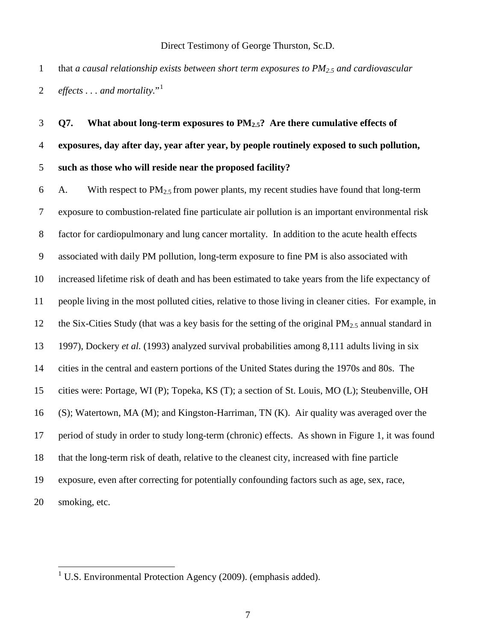that *a causal relationship exists between short term exposures to PM2.5 and cardiovascular*  2 effects . . . and mortality."<sup>[1](#page-9-0)</sup>

# **Q7. What about long-term exposures to PM2.5? Are there cumulative effects of exposures, day after day, year after year, by people routinely exposed to such pollution, such as those who will reside near the proposed facility?**

6 A. With respect to  $PM_{2.5}$  from power plants, my recent studies have found that long-term exposure to combustion-related fine particulate air pollution is an important environmental risk factor for cardiopulmonary and lung cancer mortality. In addition to the acute health effects associated with daily PM pollution, long-term exposure to fine PM is also associated with increased lifetime risk of death and has been estimated to take years from the life expectancy of people living in the most polluted cities, relative to those living in cleaner cities. For example, in 12 the Six-Cities Study (that was a key basis for the setting of the original  $PM_{2.5}$  annual standard in 1997), Dockery *et al.* (1993) analyzed survival probabilities among 8,111 adults living in six cities in the central and eastern portions of the United States during the 1970s and 80s. The cities were: Portage, WI (P); Topeka, KS (T); a section of St. Louis, MO (L); Steubenville, OH (S); Watertown, MA (M); and Kingston-Harriman, TN (K). Air quality was averaged over the period of study in order to study long-term (chronic) effects. As shown in Figure 1, it was found that the long-term risk of death, relative to the cleanest city, increased with fine particle exposure, even after correcting for potentially confounding factors such as age, sex, race, smoking, etc.

<span id="page-9-0"></span><sup>&</sup>lt;sup>1</sup> U.S. Environmental Protection Agency (2009). (emphasis added).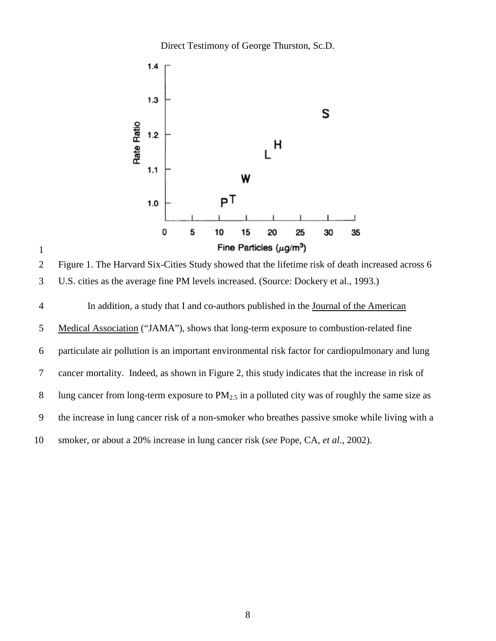

<span id="page-10-0"></span> Figure 1. The Harvard Six-Cities Study showed that the lifetime risk of death increased across 6 U.S. cities as the average fine PM levels increased. (Source: Dockery et al., 1993.)

 In addition, a study that I and co-authors published in the Journal of the American Medical Association ("JAMA"), shows that long-term exposure to combustion-related fine particulate air pollution is an important environmental risk factor for cardiopulmonary and lung cancer mortality. Indeed, as shown in Figure 2, this study indicates that the increase in risk of 8 lung cancer from long-term exposure to  $PM_{2.5}$  in a polluted city was of roughly the same size as the increase in lung cancer risk of a non-smoker who breathes passive smoke while living with a smoker, or about a 20% increase in lung cancer risk (*see* Pope, CA, *et al.*, 2002).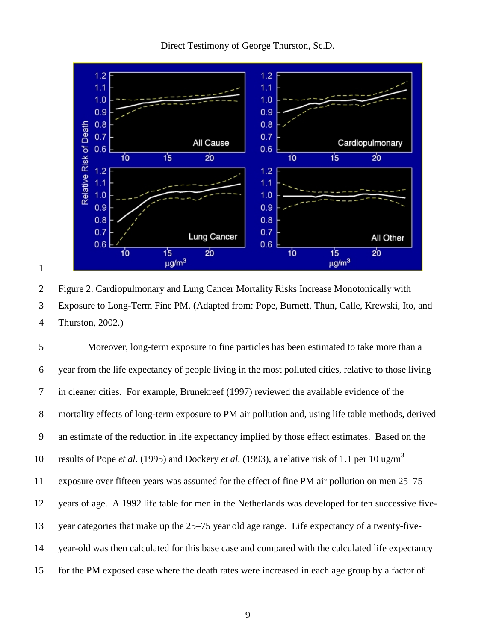Direct Testimony of George Thurston, Sc.D.



 Figure 2. Cardiopulmonary and Lung Cancer Mortality Risks Increase Monotonically with Exposure to Long-Term Fine PM. (Adapted from: Pope, Burnett, Thun, Calle, Krewski, Ito, and Thurston, 2002.)

 Moreover, long-term exposure to fine particles has been estimated to take more than a year from the life expectancy of people living in the most polluted cities, relative to those living in cleaner cities. For example, Brunekreef (1997) reviewed the available evidence of the mortality effects of long-term exposure to PM air pollution and, using life table methods, derived an estimate of the reduction in life expectancy implied by those effect estimates. Based on the results of Pope *et al.* (1995) and Dockery *et al.* (1993), a relative risk of 1.1 per 10 ug/m<sup>3</sup> exposure over fifteen years was assumed for the effect of fine PM air pollution on men 25–75 years of age. A 1992 life table for men in the Netherlands was developed for ten successive five- year categories that make up the 25–75 year old age range. Life expectancy of a twenty-five- year-old was then calculated for this base case and compared with the calculated life expectancy for the PM exposed case where the death rates were increased in each age group by a factor of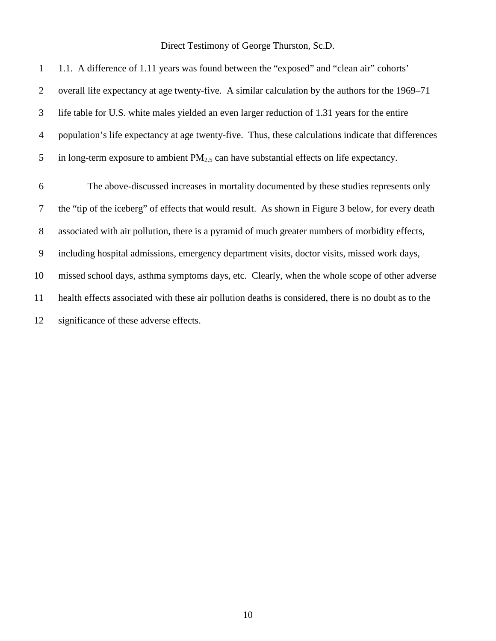| $\mathbf{1}$ | 1.1. A difference of 1.11 years was found between the "exposed" and "clean air" cohorts"             |
|--------------|------------------------------------------------------------------------------------------------------|
| 2            | overall life expectancy at age twenty-five. A similar calculation by the authors for the 1969–71     |
| 3            | life table for U.S. white males yielded an even larger reduction of 1.31 years for the entire        |
| 4            | population's life expectancy at age twenty-five. Thus, these calculations indicate that differences  |
| 5            | in long-term exposure to ambient $PM_{2.5}$ can have substantial effects on life expectancy.         |
| 6            | The above-discussed increases in mortality documented by these studies represents only               |
| 7            | the "tip of the iceberg" of effects that would result. As shown in Figure 3 below, for every death   |
| 8            | associated with air pollution, there is a pyramid of much greater numbers of morbidity effects,      |
| 9            | including hospital admissions, emergency department visits, doctor visits, missed work days,         |
| 10           | missed school days, asthma symptoms days, etc. Clearly, when the whole scope of other adverse        |
| 11           | health effects associated with these air pollution deaths is considered, there is no doubt as to the |
| 12           | significance of these adverse effects.                                                               |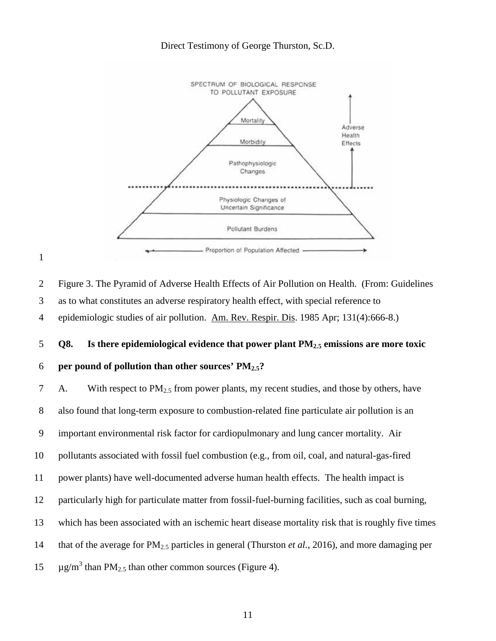

<span id="page-13-0"></span> Figure 3. The Pyramid of Adverse Health Effects of Air Pollution on Health. (From: Guidelines as to what constitutes an adverse respiratory health effect, with special reference to epidemiologic studies of air pollution. Am. Rev. Respir. Dis. 1985 Apr; 131(4):666-8.)

# **Q8. Is there epidemiological evidence that power plant PM2.5 emissions are more toxic per pound of pollution than other sources' PM2.5?**

7 A. With respect to  $PM_{2.5}$  from power plants, my recent studies, and those by others, have also found that long-term exposure to combustion-related fine particulate air pollution is an important environmental risk factor for cardiopulmonary and lung cancer mortality. Air pollutants associated with fossil fuel combustion (e.g., from oil, coal, and natural-gas-fired power plants) have well-documented adverse human health effects. The health impact is particularly high for particulate matter from fossil-fuel-burning facilities, such as coal burning, which has been associated with an ischemic heart disease mortality risk that is roughly five times that of the average for PM2.5 particles in general (Thurston *et al.*, 2016), and more damaging per  $\mu$ g/m<sup>3</sup> than PM<sub>2.5</sub> than other common sources (Figure 4).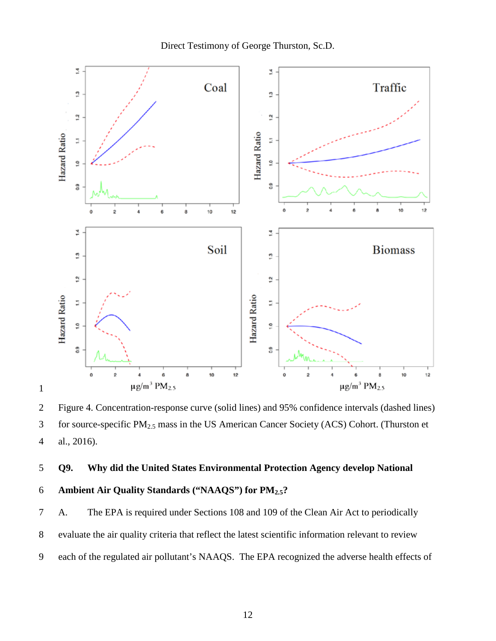

<span id="page-14-0"></span> Figure 4. Concentration-response curve (solid lines) and 95% confidence intervals (dashed lines) for source-specific PM2.5 mass in the US American Cancer Society (ACS) Cohort. (Thurston et al., 2016).

```
5 Q9. Why did the United States Environmental Protection Agency develop National 
6 Ambient Air Quality Standards ("NAAQS") for PM2.5?
```
 A. The EPA is required under Sections 108 and 109 of the Clean Air Act to periodically evaluate the air quality criteria that reflect the latest scientific information relevant to review each of the regulated air pollutant's NAAQS. The EPA recognized the adverse health effects of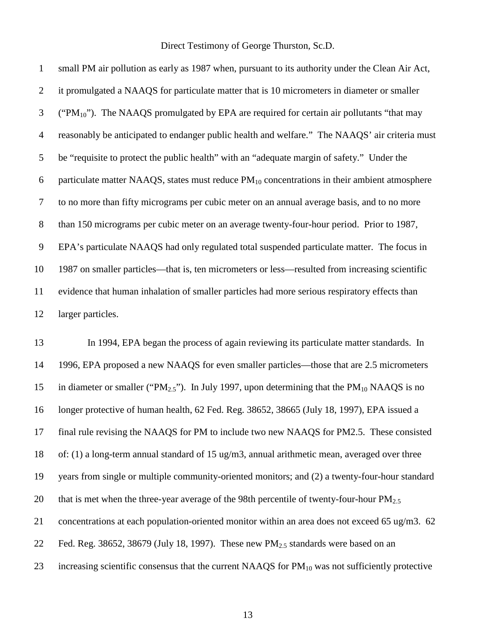small PM air pollution as early as 1987 when, pursuant to its authority under the Clean Air Act, it promulgated a NAAQS for particulate matter that is 10 micrometers in diameter or smaller ("PM<sub>10</sub>"). The NAAQS promulgated by EPA are required for certain air pollutants "that may reasonably be anticipated to endanger public health and welfare." The NAAQS' air criteria must be "requisite to protect the public health" with an "adequate margin of safety." Under the 6 particulate matter NAAQS, states must reduce  $PM_{10}$  concentrations in their ambient atmosphere to no more than fifty micrograms per cubic meter on an annual average basis, and to no more than 150 micrograms per cubic meter on an average twenty-four-hour period. Prior to 1987, EPA's particulate NAAQS had only regulated total suspended particulate matter. The focus in 1987 on smaller particles—that is, ten micrometers or less—resulted from increasing scientific evidence that human inhalation of smaller particles had more serious respiratory effects than larger particles.

 In 1994, EPA began the process of again reviewing its particulate matter standards. In 1996, EPA proposed a new NAAQS for even smaller particles—those that are 2.5 micrometers 15 in diameter or smaller (" $PM_{2.5}$ "). In July 1997, upon determining that the  $PM_{10}$  NAAQS is no longer protective of human health, 62 Fed. Reg. 38652, 38665 (July 18, 1997), EPA issued a final rule revising the NAAQS for PM to include two new NAAQS for PM2.5. These consisted of: (1) a long-term annual standard of 15 ug/m3, annual arithmetic mean, averaged over three years from single or multiple community-oriented monitors; and (2) a twenty-four-hour standard 20 that is met when the three-year average of the 98th percentile of twenty-four-hour  $PM_{2.5}$  concentrations at each population-oriented monitor within an area does not exceed 65 ug/m3. 62 22 Fed. Reg. 38652, 38679 (July 18, 1997). These new  $PM_{2.5}$  standards were based on an 23 increasing scientific consensus that the current NAAQS for  $PM_{10}$  was not sufficiently protective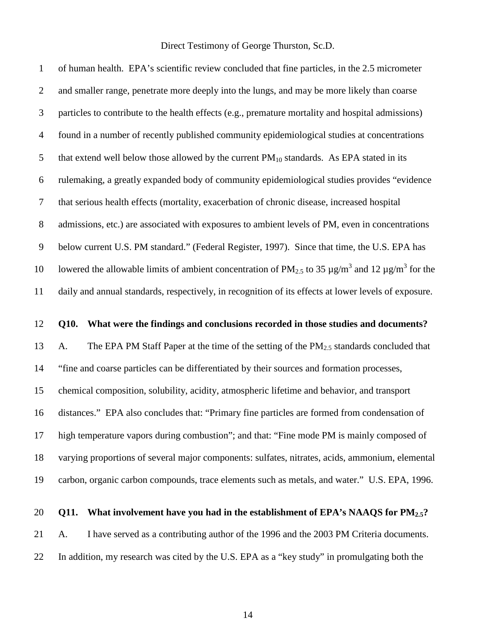of human health. EPA's scientific review concluded that fine particles, in the 2.5 micrometer 2 and smaller range, penetrate more deeply into the lungs, and may be more likely than coarse particles to contribute to the health effects (e.g., premature mortality and hospital admissions) found in a number of recently published community epidemiological studies at concentrations 5 that extend well below those allowed by the current  $PM_{10}$  standards. As EPA stated in its rulemaking, a greatly expanded body of community epidemiological studies provides "evidence that serious health effects (mortality, exacerbation of chronic disease, increased hospital admissions, etc.) are associated with exposures to ambient levels of PM, even in concentrations below current U.S. PM standard." (Federal Register, 1997). Since that time, the U.S. EPA has lowered the allowable limits of ambient concentration of PM<sub>2.5</sub> to 35  $\mu$ g/m<sup>3</sup> and 12  $\mu$ g/m<sup>3</sup> for the daily and annual standards, respectively, in recognition of its effects at lower levels of exposure.

### **Q10. What were the findings and conclusions recorded in those studies and documents?**

13 A. The EPA PM Staff Paper at the time of the setting of the  $PM_{2.5}$  standards concluded that "fine and coarse particles can be differentiated by their sources and formation processes, chemical composition, solubility, acidity, atmospheric lifetime and behavior, and transport distances." EPA also concludes that: "Primary fine particles are formed from condensation of high temperature vapors during combustion"; and that: "Fine mode PM is mainly composed of varying proportions of several major components: sulfates, nitrates, acids, ammonium, elemental carbon, organic carbon compounds, trace elements such as metals, and water." U.S. EPA, 1996.

# **Q11. What involvement have you had in the establishment of EPA's NAAQS for PM2.5?**

A. I have served as a contributing author of the 1996 and the 2003 PM Criteria documents.

In addition, my research was cited by the U.S. EPA as a "key study" in promulgating both the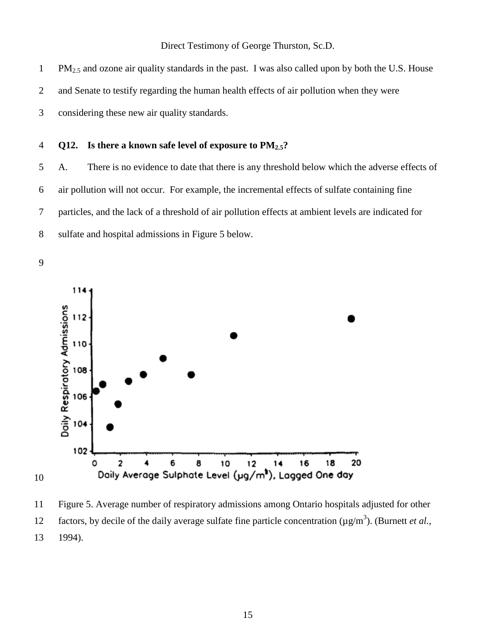1 PM<sub>2.5</sub> and ozone air quality standards in the past. I was also called upon by both the U.S. House and Senate to testify regarding the human health effects of air pollution when they were considering these new air quality standards.

# **Q12. Is there a known safe level of exposure to PM2.5?**

 A. There is no evidence to date that there is any threshold below which the adverse effects of air pollution will not occur. For example, the incremental effects of sulfate containing fine particles, and the lack of a threshold of air pollution effects at ambient levels are indicated for sulfate and hospital admissions in Figure 5 below.



<span id="page-17-0"></span> Figure 5. Average number of respiratory admissions among Ontario hospitals adjusted for other factors, by decile of the daily average sulfate fine particle concentration  $(\mu g/m^3)$ . (Burnett *et al.*, 1994).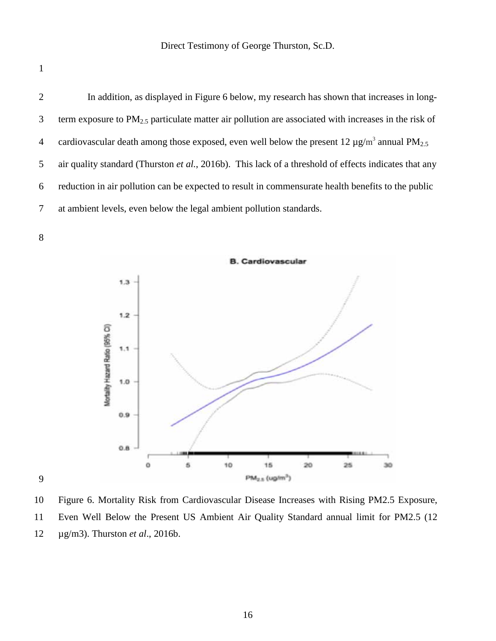In addition, as displayed in Figure 6 below, my research has shown that increases in long-3 term exposure to  $PM_{2.5}$  particulate matter air pollution are associated with increases in the risk of 4 cardiovascular death among those exposed, even well below the present  $12 \mu g/m^3$  annual PM<sub>2.5</sub> air quality standard (Thurston *et al.*, 2016b). This lack of a threshold of effects indicates that any reduction in air pollution can be expected to result in commensurate health benefits to the public at ambient levels, even below the legal ambient pollution standards.



<span id="page-18-0"></span> Figure 6. Mortality Risk from Cardiovascular Disease Increases with Rising PM2.5 Exposure, Even Well Below the Present US Ambient Air Quality Standard annual limit for PM2.5 (12 µg/m3). Thurston *et al*., 2016b.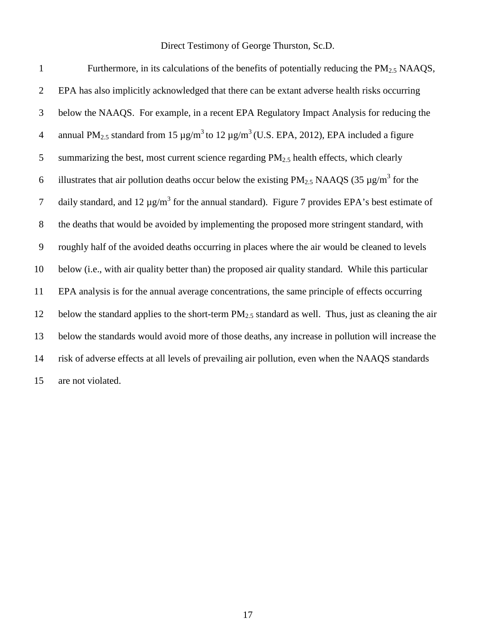| $\mathbf{1}$   | Furthermore, in its calculations of the benefits of potentially reducing the $PM_{2.5}$ NAAQS,                                        |
|----------------|---------------------------------------------------------------------------------------------------------------------------------------|
| 2              | EPA has also implicitly acknowledged that there can be extant adverse health risks occurring                                          |
| 3              | below the NAAQS. For example, in a recent EPA Regulatory Impact Analysis for reducing the                                             |
| $\overline{4}$ | annual PM <sub>2.5</sub> standard from 15 $\mu$ g/m <sup>3</sup> to 12 $\mu$ g/m <sup>3</sup> (U.S. EPA, 2012), EPA included a figure |
| 5              | summarizing the best, most current science regarding PM <sub>2.5</sub> health effects, which clearly                                  |
| 6              | illustrates that air pollution deaths occur below the existing $PM_{2.5}$ NAAQS (35 $\mu$ g/m <sup>3</sup> for the                    |
| 7              | daily standard, and 12 $\mu$ g/m <sup>3</sup> for the annual standard). Figure 7 provides EPA's best estimate of                      |
| 8              | the deaths that would be avoided by implementing the proposed more stringent standard, with                                           |
| 9              | roughly half of the avoided deaths occurring in places where the air would be cleaned to levels                                       |
| 10             | below (i.e., with air quality better than) the proposed air quality standard. While this particular                                   |
| 11             | EPA analysis is for the annual average concentrations, the same principle of effects occurring                                        |
| 12             | below the standard applies to the short-term $PM_{2.5}$ standard as well. Thus, just as cleaning the air                              |
| 13             | below the standards would avoid more of those deaths, any increase in pollution will increase the                                     |
| 14             | risk of adverse effects at all levels of prevailing air pollution, even when the NAAQS standards                                      |
| 15             | are not violated.                                                                                                                     |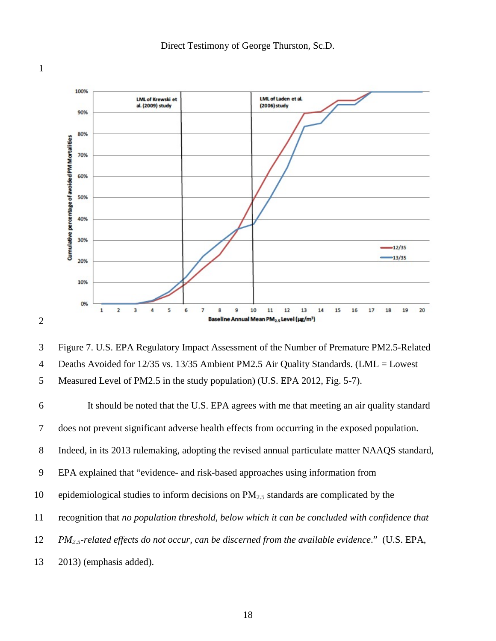

<span id="page-20-0"></span> Figure 7. U.S. EPA Regulatory Impact Assessment of the Number of Premature PM2.5-Related Deaths Avoided for 12/35 vs. 13/35 Ambient PM2.5 Air Quality Standards. (LML = Lowest Measured Level of PM2.5 in the study population) (U.S. EPA 2012, Fig. 5-7).

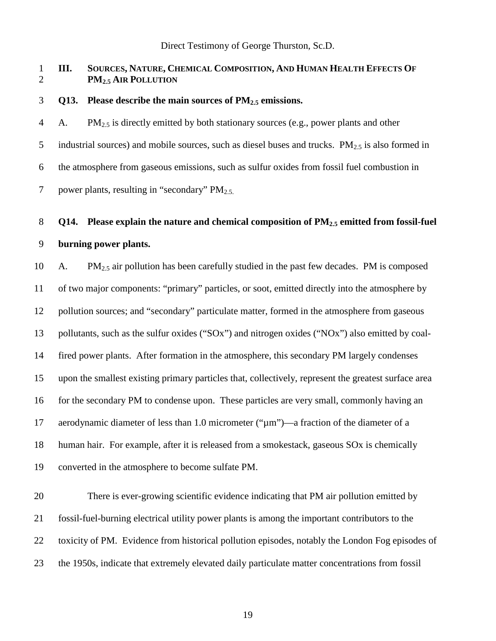# <span id="page-21-0"></span> **III. SOURCES, NATURE, CHEMICAL COMPOSITION, AND HUMAN HEALTH EFFECTS OF PM2.5 AIR POLLUTION**

### **Q13. Please describe the main sources of PM2.5 emissions.**

4 A. PM $_{2.5}$  is directly emitted by both stationary sources (e.g., power plants and other 5 industrial sources) and mobile sources, such as diesel buses and trucks.  $PM_{2.5}$  is also formed in the atmosphere from gaseous emissions, such as sulfur oxides from fossil fuel combustion in 7 power plants, resulting in "secondary"  $PM_{2.5}$ .

# **Q14. Please explain the nature and chemical composition of PM2.5 emitted from fossil-fuel**

### **burning power plants.**

10 A. PM $_{2.5}$  air pollution has been carefully studied in the past few decades. PM is composed of two major components: "primary" particles, or soot, emitted directly into the atmosphere by pollution sources; and "secondary" particulate matter, formed in the atmosphere from gaseous pollutants, such as the sulfur oxides ("SOx") and nitrogen oxides ("NOx") also emitted by coal- fired power plants. After formation in the atmosphere, this secondary PM largely condenses upon the smallest existing primary particles that, collectively, represent the greatest surface area 16 for the secondary PM to condense upon. These particles are very small, commonly having an 17 aerodynamic diameter of less than 1.0 micrometer ("µm")—a fraction of the diameter of a human hair. For example, after it is released from a smokestack, gaseous SOx is chemically converted in the atmosphere to become sulfate PM.

 There is ever-growing scientific evidence indicating that PM air pollution emitted by fossil-fuel-burning electrical utility power plants is among the important contributors to the toxicity of PM. Evidence from historical pollution episodes, notably the London Fog episodes of the 1950s, indicate that extremely elevated daily particulate matter concentrations from fossil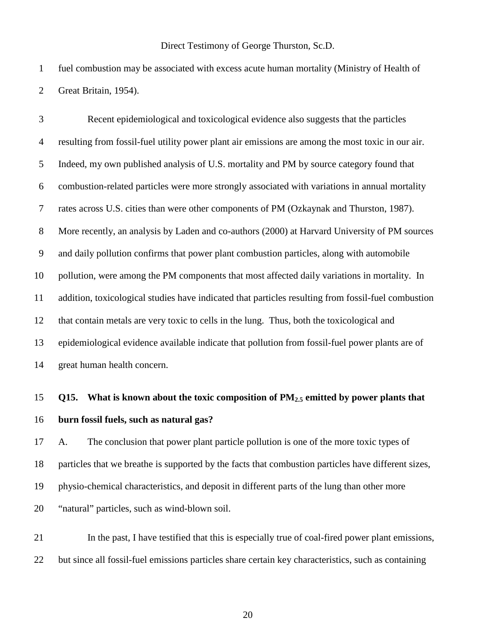fuel combustion may be associated with excess acute human mortality (Ministry of Health of Great Britain, 1954).

 Recent epidemiological and toxicological evidence also suggests that the particles resulting from fossil-fuel utility power plant air emissions are among the most toxic in our air. Indeed, my own published analysis of U.S. mortality and PM by source category found that combustion-related particles were more strongly associated with variations in annual mortality rates across U.S. cities than were other components of PM (Ozkaynak and Thurston, 1987). More recently, an analysis by Laden and co-authors (2000) at Harvard University of PM sources and daily pollution confirms that power plant combustion particles, along with automobile pollution, were among the PM components that most affected daily variations in mortality. In addition, toxicological studies have indicated that particles resulting from fossil-fuel combustion that contain metals are very toxic to cells in the lung. Thus, both the toxicological and epidemiological evidence available indicate that pollution from fossil-fuel power plants are of great human health concern.

# **Q15. What is known about the toxic composition of PM2.5 emitted by power plants that burn fossil fuels, such as natural gas?**

 A. The conclusion that power plant particle pollution is one of the more toxic types of particles that we breathe is supported by the facts that combustion particles have different sizes, physio-chemical characteristics, and deposit in different parts of the lung than other more "natural" particles, such as wind-blown soil.

 In the past, I have testified that this is especially true of coal-fired power plant emissions, but since all fossil-fuel emissions particles share certain key characteristics, such as containing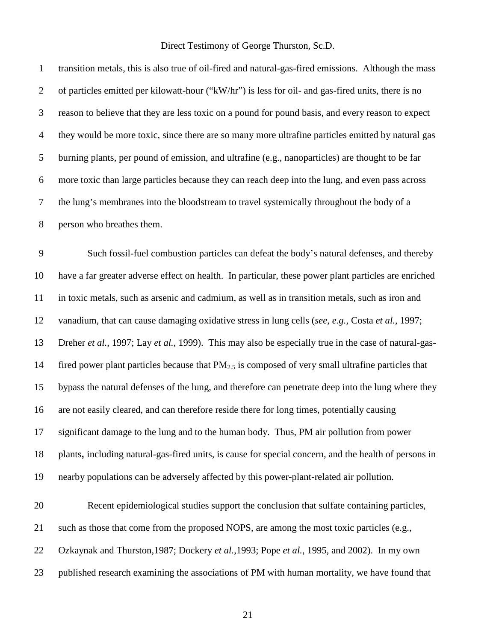| $\mathbf{1}$ | transition metals, this is also true of oil-fired and natural-gas-fired emissions. Although the mass |
|--------------|------------------------------------------------------------------------------------------------------|
| 2            | of particles emitted per kilowatt-hour ("kW/hr") is less for oil- and gas-fired units, there is no   |
| 3            | reason to believe that they are less toxic on a pound for pound basis, and every reason to expect    |
| 4            | they would be more toxic, since there are so many more ultrafine particles emitted by natural gas    |
| 5            | burning plants, per pound of emission, and ultrafine (e.g., nanoparticles) are thought to be far     |
| 6            | more toxic than large particles because they can reach deep into the lung, and even pass across      |
| $\tau$       | the lung's membranes into the bloodstream to travel systemically throughout the body of a            |
| 8            | person who breathes them.                                                                            |

 Such fossil-fuel combustion particles can defeat the body's natural defenses, and thereby have a far greater adverse effect on health. In particular, these power plant particles are enriched in toxic metals, such as arsenic and cadmium, as well as in transition metals, such as iron and vanadium, that can cause damaging oxidative stress in lung cells (*see, e.g.*, Costa *et al.*, 1997; Dreher *et al.*, 1997; Lay *et al.*, 1999). This may also be especially true in the case of natural-gas-14 fired power plant particles because that  $PM_{2.5}$  is composed of very small ultrafine particles that bypass the natural defenses of the lung, and therefore can penetrate deep into the lung where they are not easily cleared, and can therefore reside there for long times, potentially causing significant damage to the lung and to the human body. Thus, PM air pollution from power plants**,** including natural-gas-fired units, is cause for special concern, and the health of persons in nearby populations can be adversely affected by this power-plant-related air pollution.

 Recent epidemiological studies support the conclusion that sulfate containing particles, such as those that come from the proposed NOPS, are among the most toxic particles (e.g., Ozkaynak and Thurston,1987; Dockery *et al.*,1993; Pope *et al.*, 1995, and 2002). In my own published research examining the associations of PM with human mortality, we have found that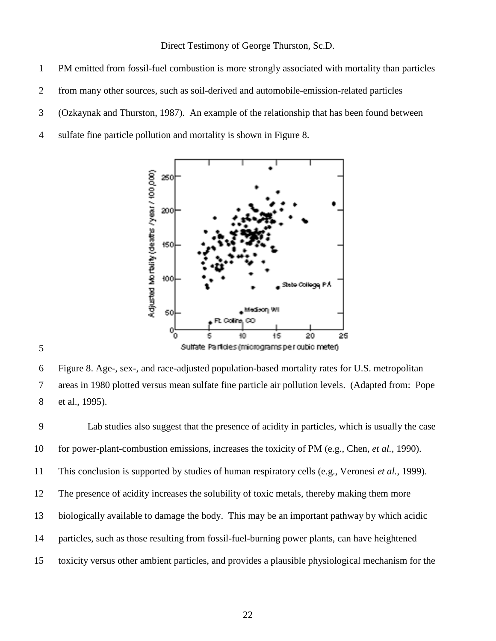- PM emitted from fossil-fuel combustion is more strongly associated with mortality than particles
- from many other sources, such as soil-derived and automobile-emission-related particles
- (Ozkaynak and Thurston, 1987). An example of the relationship that has been found between
- sulfate fine particle pollution and mortality is shown in Figure 8.



<span id="page-24-0"></span> Figure 8. Age-, sex-, and race-adjusted population-based mortality rates for U.S. metropolitan areas in 1980 plotted versus mean sulfate fine particle air pollution levels. (Adapted from: Pope et al., 1995).

 Lab studies also suggest that the presence of acidity in particles, which is usually the case for power-plant-combustion emissions, increases the toxicity of PM (e.g., Chen, *et al.*, 1990). This conclusion is supported by studies of human respiratory cells (e.g., Veronesi *et al.*, 1999). The presence of acidity increases the solubility of toxic metals, thereby making them more biologically available to damage the body. This may be an important pathway by which acidic particles, such as those resulting from fossil-fuel-burning power plants, can have heightened toxicity versus other ambient particles, and provides a plausible physiological mechanism for the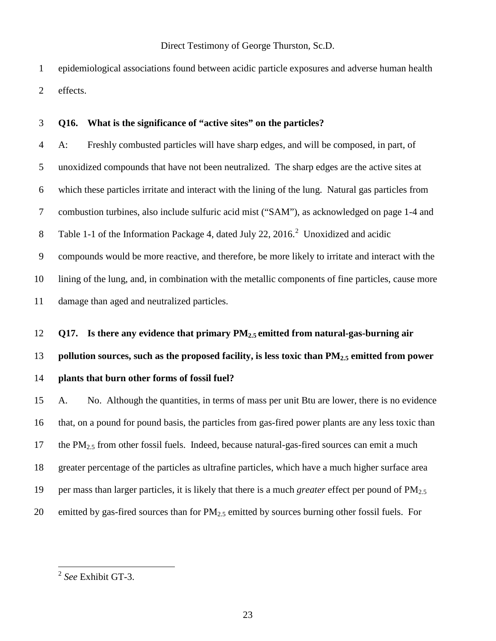epidemiological associations found between acidic particle exposures and adverse human health effects.

# **Q16. What is the significance of "active sites" on the particles?**

 A: Freshly combusted particles will have sharp edges, and will be composed, in part, of unoxidized compounds that have not been neutralized. The sharp edges are the active sites at which these particles irritate and interact with the lining of the lung. Natural gas particles from combustion turbines, also include sulfuric acid mist ("SAM"), as acknowledged on page 1-4 and 8 Table 1-1 of the Information Package 4, dated July [2](#page-25-0)2, 2016.<sup>2</sup> Unoxidized and acidic compounds would be more reactive, and therefore, be more likely to irritate and interact with the lining of the lung, and, in combination with the metallic components of fine particles, cause more damage than aged and neutralized particles.

# **Q17. Is there any evidence that primary PM2.5 emitted from natural-gas-burning air**

**pollution sources, such as the proposed facility, is less toxic than PM2.5 emitted from power** 

# **plants that burn other forms of fossil fuel?**

 A. No. Although the quantities, in terms of mass per unit Btu are lower, there is no evidence that, on a pound for pound basis, the particles from gas-fired power plants are any less toxic than 17 the  $PM_{2.5}$  from other fossil fuels. Indeed, because natural-gas-fired sources can emit a much greater percentage of the particles as ultrafine particles, which have a much higher surface area per mass than larger particles, it is likely that there is a much *greater* effect per pound of PM2.5 20 emitted by gas-fired sources than for  $PM<sub>2.5</sub>$  emitted by sources burning other fossil fuels. For

<span id="page-25-0"></span>*See* Exhibit GT-3.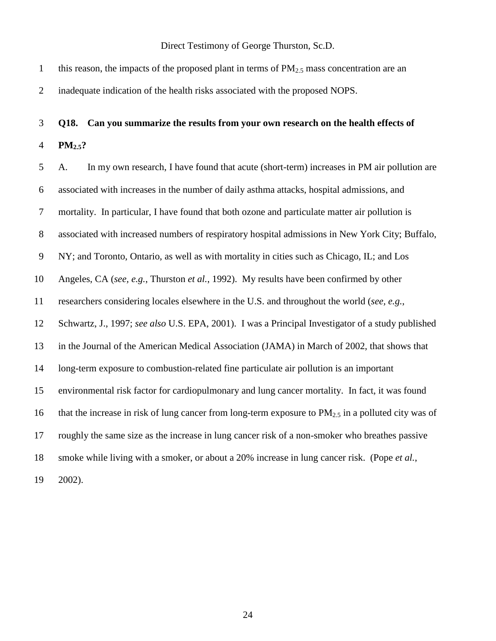1 this reason, the impacts of the proposed plant in terms of  $PM_{2.5}$  mass concentration are an inadequate indication of the health risks associated with the proposed NOPS.

# **Q18. Can you summarize the results from your own research on the health effects of PM2.5?**

 A. In my own research, I have found that acute (short-term) increases in PM air pollution are associated with increases in the number of daily asthma attacks, hospital admissions, and mortality. In particular, I have found that both ozone and particulate matter air pollution is associated with increased numbers of respiratory hospital admissions in New York City; Buffalo, NY; and Toronto, Ontario, as well as with mortality in cities such as Chicago, IL; and Los Angeles, CA (*see, e.g.*, Thurston *et al.*, 1992). My results have been confirmed by other researchers considering locales elsewhere in the U.S. and throughout the world (*see, e.g.*, Schwartz, J., 1997; *see also* U.S. EPA, 2001). I was a Principal Investigator of a study published in the Journal of the American Medical Association (JAMA) in March of 2002, that shows that long-term exposure to combustion-related fine particulate air pollution is an important environmental risk factor for cardiopulmonary and lung cancer mortality. In fact, it was found 16 that the increase in risk of lung cancer from long-term exposure to  $PM_{2.5}$  in a polluted city was of roughly the same size as the increase in lung cancer risk of a non-smoker who breathes passive smoke while living with a smoker, or about a 20% increase in lung cancer risk. (Pope *et al.*, 2002).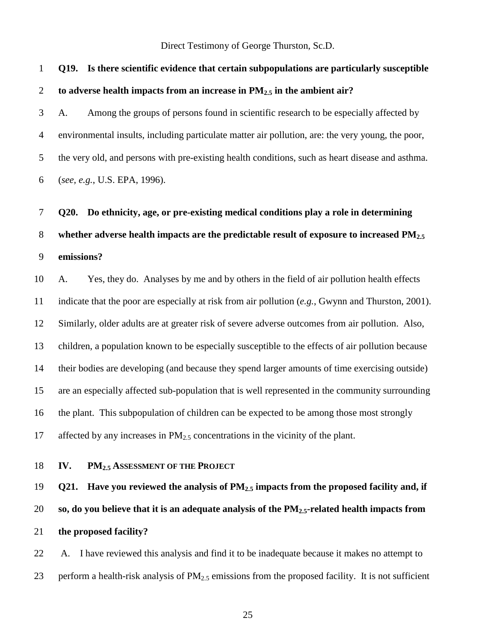**Q19. Is there scientific evidence that certain subpopulations are particularly susceptible** 

# **to adverse health impacts from an increase in PM2.5 in the ambient air?** A. Among the groups of persons found in scientific research to be especially affected by environmental insults, including particulate matter air pollution, are: the very young, the poor, the very old, and persons with pre-existing health conditions, such as heart disease and asthma. (*see, e.g.*, U.S. EPA, 1996). **Q20. Do ethnicity, age, or pre-existing medical conditions play a role in determining whether adverse health impacts are the predictable result of exposure to increased PM2.5 emissions?** A. Yes, they do. Analyses by me and by others in the field of air pollution health effects indicate that the poor are especially at risk from air pollution (*e.g.*, Gwynn and Thurston, 2001). Similarly, older adults are at greater risk of severe adverse outcomes from air pollution. Also, children, a population known to be especially susceptible to the effects of air pollution because their bodies are developing (and because they spend larger amounts of time exercising outside) are an especially affected sub-population that is well represented in the community surrounding the plant. This subpopulation of children can be expected to be among those most strongly 17 affected by any increases in  $PM<sub>2.5</sub>$  concentrations in the vicinity of the plant. **IV. PM2.5 ASSESSMENT OF THE PROJECT Q21. Have you reviewed the analysis of PM2.5 impacts from the proposed facility and, if so, do you believe that it is an adequate analysis of the PM2.5-related health impacts from the proposed facility?**

<span id="page-27-0"></span> A. I have reviewed this analysis and find it to be inadequate because it makes no attempt to 23 perform a health-risk analysis of  $PM<sub>2.5</sub>$  emissions from the proposed facility. It is not sufficient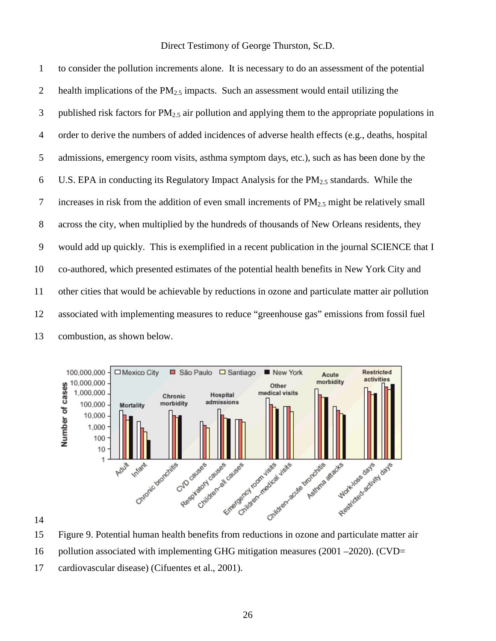to consider the pollution increments alone. It is necessary to do an assessment of the potential 2 health implications of the  $PM<sub>2.5</sub>$  impacts. Such an assessment would entail utilizing the 3 published risk factors for  $PM_{2.5}$  air pollution and applying them to the appropriate populations in order to derive the numbers of added incidences of adverse health effects (e.g., deaths, hospital admissions, emergency room visits, asthma symptom days, etc.), such as has been done by the 6 U.S. EPA in conducting its Regulatory Impact Analysis for the  $PM_{2.5}$  standards. While the 7 increases in risk from the addition of even small increments of  $PM_{2.5}$  might be relatively small across the city, when multiplied by the hundreds of thousands of New Orleans residents, they would add up quickly. This is exemplified in a recent publication in the journal SCIENCE that I co-authored, which presented estimates of the potential health benefits in New York City and other cities that would be achievable by reductions in ozone and particulate matter air pollution associated with implementing measures to reduce "greenhouse gas" emissions from fossil fuel combustion, as shown below.

<span id="page-28-0"></span>

Figure 9. Potential human health benefits from reductions in ozone and particulate matter air

<sup>16</sup> pollution associated with implementing GHG mitigation measures (2001 –2020). (CVD=

cardiovascular disease) (Cifuentes et al., 2001).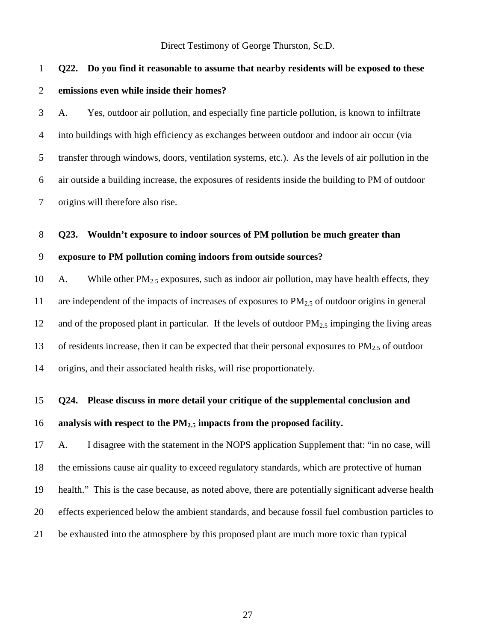# **Q22. Do you find it reasonable to assume that nearby residents will be exposed to these emissions even while inside their homes?**

 A. Yes, outdoor air pollution, and especially fine particle pollution, is known to infiltrate into buildings with high efficiency as exchanges between outdoor and indoor air occur (via transfer through windows, doors, ventilation systems, etc.). As the levels of air pollution in the air outside a building increase, the exposures of residents inside the building to PM of outdoor origins will therefore also rise.

#### **Q23. Wouldn't exposure to indoor sources of PM pollution be much greater than**

## **exposure to PM pollution coming indoors from outside sources?**

10 A. While other  $PM_{2.5}$  exposures, such as indoor air pollution, may have health effects, they 11 are independent of the impacts of increases of exposures to PM<sub>2.5</sub> of outdoor origins in general 12 and of the proposed plant in particular. If the levels of outdoor  $PM_{2.5}$  impinging the living areas 13 of residents increase, then it can be expected that their personal exposures to  $PM_{2.5}$  of outdoor origins, and their associated health risks, will rise proportionately.

# **Q24. Please discuss in more detail your critique of the supplemental conclusion and**

# **analysis with respect to the PM2.5 impacts from the proposed facility.**

 A. I disagree with the statement in the NOPS application Supplement that: "in no case, will the emissions cause air quality to exceed regulatory standards, which are protective of human health." This is the case because, as noted above, there are potentially significant adverse health effects experienced below the ambient standards, and because fossil fuel combustion particles to be exhausted into the atmosphere by this proposed plant are much more toxic than typical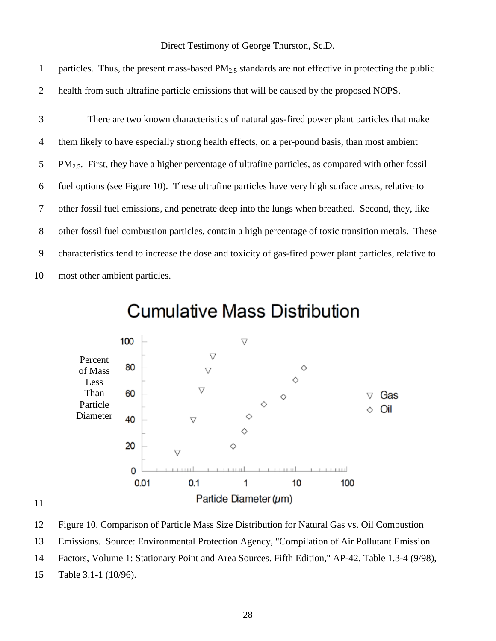1 particles. Thus, the present mass-based  $PM_{2.5}$  standards are not effective in protecting the public health from such ultrafine particle emissions that will be caused by the proposed NOPS.

 There are two known characteristics of natural gas-fired power plant particles that make them likely to have especially strong health effects, on a per-pound basis, than most ambient PM<sub>2.5</sub>. First, they have a higher percentage of ultrafine particles, as compared with other fossil fuel options (see Figure 10). These ultrafine particles have very high surface areas, relative to other fossil fuel emissions, and penetrate deep into the lungs when breathed. Second, they, like other fossil fuel combustion particles, contain a high percentage of toxic transition metals. These characteristics tend to increase the dose and toxicity of gas-fired power plant particles, relative to most other ambient particles.



**Cumulative Mass Distribution** 

<span id="page-30-0"></span>Figure 10. Comparison of Particle Mass Size Distribution for Natural Gas vs. Oil Combustion

Emissions. Source: Environmental Protection Agency, "Compilation of Air Pollutant Emission

Factors, Volume 1: Stationary Point and Area Sources. Fifth Edition," AP-42. Table 1.3-4 (9/98),

Table 3.1-1 (10/96).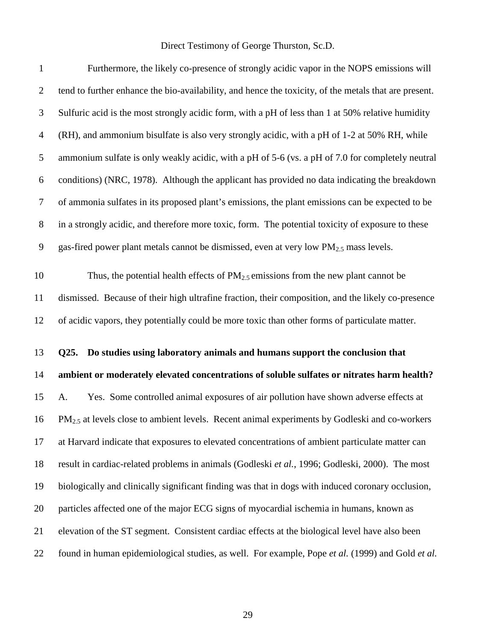| $\mathbf{1}$   | Furthermore, the likely co-presence of strongly acidic vapor in the NOPS emissions will               |
|----------------|-------------------------------------------------------------------------------------------------------|
| $\overline{2}$ | tend to further enhance the bio-availability, and hence the toxicity, of the metals that are present. |
| $\mathfrak{Z}$ | Sulfuric acid is the most strongly acidic form, with a pH of less than 1 at 50% relative humidity     |
| $\overline{4}$ | (RH), and ammonium bisulfate is also very strongly acidic, with a pH of 1-2 at 50% RH, while          |
| 5              | ammonium sulfate is only weakly acidic, with a pH of 5-6 (vs. a pH of 7.0 for completely neutral      |
| 6              | conditions) (NRC, 1978). Although the applicant has provided no data indicating the breakdown         |
| $\tau$         | of ammonia sulfates in its proposed plant's emissions, the plant emissions can be expected to be      |
| $8\,$          | in a strongly acidic, and therefore more toxic, form. The potential toxicity of exposure to these     |
| 9              | gas-fired power plant metals cannot be dismissed, even at very low $PM_{2.5}$ mass levels.            |
| 10             | Thus, the potential health effects of $PM_{2.5}$ emissions from the new plant cannot be               |
| 11             | dismissed. Because of their high ultrafine fraction, their composition, and the likely co-presence    |
| 12             | of acidic vapors, they potentially could be more toxic than other forms of particulate matter.        |
| 13             | Do studies using laboratory animals and humans support the conclusion that<br>Q25.                    |
| 14             | ambient or moderately elevated concentrations of soluble sulfates or nitrates harm health?            |
| 15             | Yes. Some controlled animal exposures of air pollution have shown adverse effects at<br>A.            |
| 16             | $PM_{2.5}$ at levels close to ambient levels. Recent animal experiments by Godleski and co-workers    |
| 17             | at Harvard indicate that exposures to elevated concentrations of ambient particulate matter can       |
| 18             | result in cardiac-related problems in animals (Godleski et al., 1996; Godleski, 2000). The most       |
| 19             | biologically and clinically significant finding was that in dogs with induced coronary occlusion,     |
| 20             | particles affected one of the major ECG signs of myocardial ischemia in humans, known as              |
| 21             | elevation of the ST segment. Consistent cardiac effects at the biological level have also been        |
| 22             | found in human epidemiological studies, as well. For example, Pope et al. (1999) and Gold et al.      |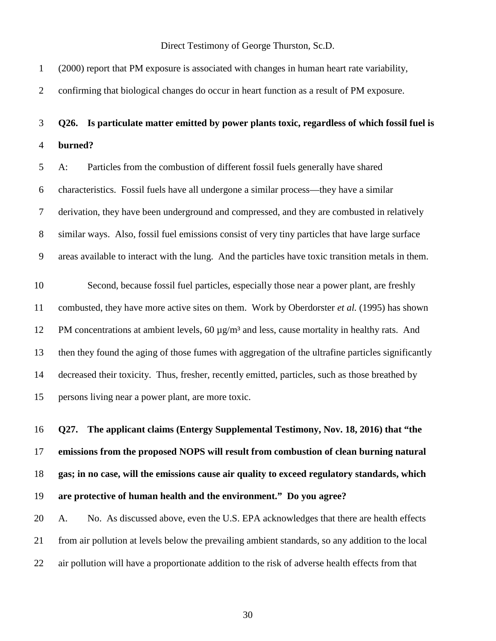(2000) report that PM exposure is associated with changes in human heart rate variability,

 confirming that biological changes do occur in heart function as a result of PM exposure. **Q26. Is particulate matter emitted by power plants toxic, regardless of which fossil fuel is burned?**  A: Particles from the combustion of different fossil fuels generally have shared characteristics. Fossil fuels have all undergone a similar process—they have a similar derivation, they have been underground and compressed, and they are combusted in relatively similar ways. Also, fossil fuel emissions consist of very tiny particles that have large surface areas available to interact with the lung. And the particles have toxic transition metals in them. Second, because fossil fuel particles, especially those near a power plant, are freshly combusted, they have more active sites on them. Work by Oberdorster *et al.* (1995) has shown 12 PM concentrations at ambient levels,  $60 \mu g/m^3$  and less, cause mortality in healthy rats. And then they found the aging of those fumes with aggregation of the ultrafine particles significantly decreased their toxicity. Thus, fresher, recently emitted, particles, such as those breathed by persons living near a power plant, are more toxic.

 **Q27. The applicant claims (Entergy Supplemental Testimony, Nov. 18, 2016) that "the emissions from the proposed NOPS will result from combustion of clean burning natural gas; in no case, will the emissions cause air quality to exceed regulatory standards, which are protective of human health and the environment." Do you agree?**

 A. No. As discussed above, even the U.S. EPA acknowledges that there are health effects from air pollution at levels below the prevailing ambient standards, so any addition to the local air pollution will have a proportionate addition to the risk of adverse health effects from that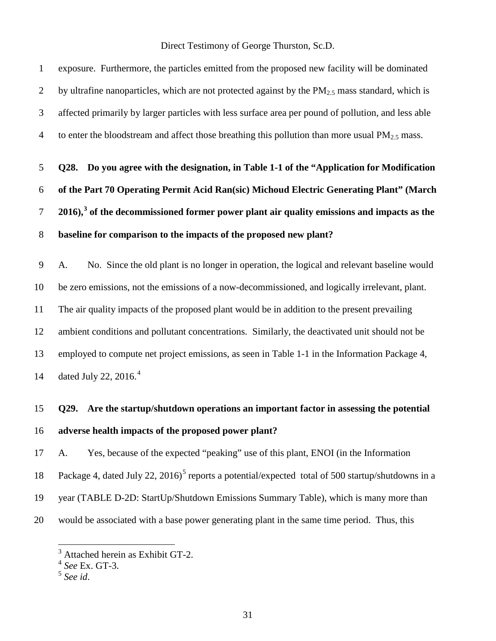

# **Q29. Are the startup/shutdown operations an important factor in assessing the potential adverse health impacts of the proposed power plant?**

 A. Yes, because of the expected "peaking" use of this plant, ENOI (in the Information 18 Package 4, dated July 22, 2016)<sup>[5](#page-33-2)</sup> reports a potential/expected total of 500 startup/shutdowns in a year (TABLE D-2D: StartUp/Shutdown Emissions Summary Table), which is many more than would be associated with a base power generating plant in the same time period. Thus, this

<span id="page-33-0"></span><sup>&</sup>lt;sup>3</sup> Attached herein as Exhibit GT-2.

<span id="page-33-1"></span>*See* Ex. GT-3.

<span id="page-33-2"></span>*See id*.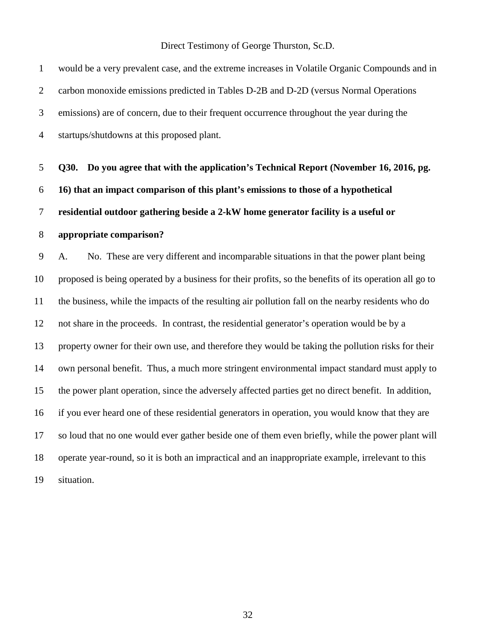| $\mathbf{1}$   | would be a very prevalent case, and the extreme increases in Volatile Organic Compounds and in         |
|----------------|--------------------------------------------------------------------------------------------------------|
| $\overline{2}$ | carbon monoxide emissions predicted in Tables D-2B and D-2D (versus Normal Operations                  |
| 3              | emissions) are of concern, due to their frequent occurrence throughout the year during the             |
| $\overline{4}$ | startups/shutdowns at this proposed plant.                                                             |
| 5              | Q30. Do you agree that with the application's Technical Report (November 16, 2016, pg.                 |
| 6              | 16) that an impact comparison of this plant's emissions to those of a hypothetical                     |
| $\tau$         | residential outdoor gathering beside a 2-kW home generator facility is a useful or                     |
| 8              | appropriate comparison?                                                                                |
| 9              | No. These are very different and incomparable situations in that the power plant being<br>A.           |
| 10             | proposed is being operated by a business for their profits, so the benefits of its operation all go to |
| 11             | the business, while the impacts of the resulting air pollution fall on the nearby residents who do     |
| 12             | not share in the proceeds. In contrast, the residential generator's operation would be by a            |
| 13             | property owner for their own use, and therefore they would be taking the pollution risks for their     |
| 14             | own personal benefit. Thus, a much more stringent environmental impact standard must apply to          |
| 15             | the power plant operation, since the adversely affected parties get no direct benefit. In addition,    |
| 16             | if you ever heard one of these residential generators in operation, you would know that they are       |
| 17             | so loud that no one would ever gather beside one of them even briefly, while the power plant will      |
| 18             | operate year-round, so it is both an impractical and an inappropriate example, irrelevant to this      |
| 19             | situation.                                                                                             |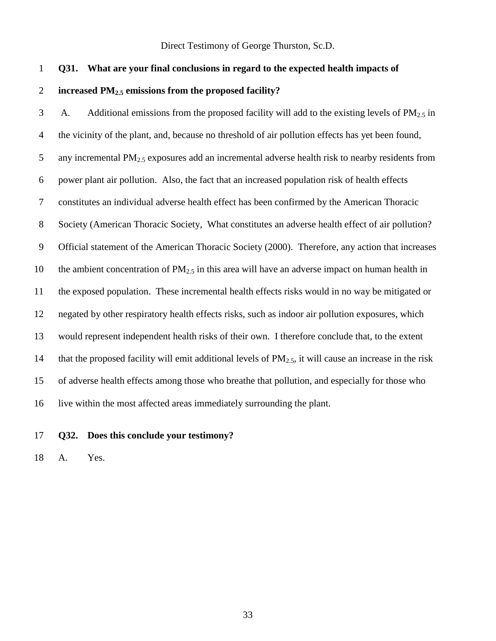# **Q31. What are your final conclusions in regard to the expected health impacts of**

# **increased PM2.5 emissions from the proposed facility?**

3 A. Additional emissions from the proposed facility will add to the existing levels of  $PM_{2.5}$  in the vicinity of the plant, and, because no threshold of air pollution effects has yet been found, 5 any incremental  $PM<sub>2.5</sub>$  exposures add an incremental adverse health risk to nearby residents from power plant air pollution. Also, the fact that an increased population risk of health effects constitutes an individual adverse health effect has been confirmed by the American Thoracic Society (American Thoracic Society, What constitutes an adverse health effect of air pollution? Official statement of the American Thoracic Society (2000). Therefore, any action that increases 10 the ambient concentration of  $PM<sub>2.5</sub>$  in this area will have an adverse impact on human health in the exposed population. These incremental health effects risks would in no way be mitigated or negated by other respiratory health effects risks, such as indoor air pollution exposures, which would represent independent health risks of their own. I therefore conclude that, to the extent 14 that the proposed facility will emit additional levels of  $PM_{2,5}$ , it will cause an increase in the risk of adverse health effects among those who breathe that pollution, and especially for those who live within the most affected areas immediately surrounding the plant.

### **Q32. Does this conclude your testimony?**

A. Yes.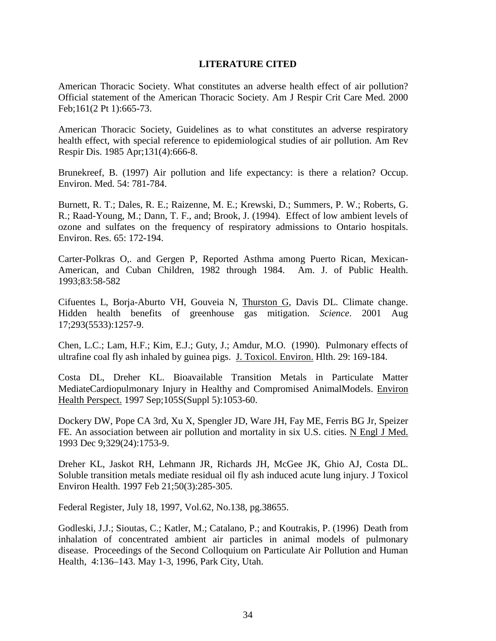### **LITERATURE CITED**

American Thoracic Society. What constitutes an adverse health effect of air pollution? Official statement of the American Thoracic Society. Am J Respir Crit Care Med. 2000 Feb;161(2 Pt 1):665-73.

American Thoracic Society, Guidelines as to what constitutes an adverse respiratory health effect, with special reference to epidemiological studies of air pollution. Am Rev Respir Dis. 1985 Apr;131(4):666-8.

Brunekreef, B. (1997) Air pollution and life expectancy: is there a relation? Occup. Environ. Med. 54: 781-784.

Burnett, R. T.; Dales, R. E.; Raizenne, M. E.; Krewski, D.; Summers, P. W.; Roberts, G. R.; Raad-Young, M.; Dann, T. F., and; Brook, J. (1994). Effect of low ambient levels of ozone and sulfates on the frequency of respiratory admissions to Ontario hospitals. Environ. Res. 65: 172-194.

Carter-Polkras O,. and Gergen P, Reported Asthma among Puerto Rican, Mexican-American, and Cuban Children, 1982 through 1984. Am. J. of Public Health. 1993;83:58-582

Cifuentes L, Borja-Aburto VH, Gouveia N, Thurston G, Davis DL. Climate change. Hidden health benefits of greenhouse gas mitigation. *Science*. 2001 Aug 17;293(5533):1257-9.

Chen, L.C.; Lam, H.F.; Kim, E.J.; Guty, J.; Amdur, M.O. (1990). Pulmonary effects of ultrafine coal fly ash inhaled by guinea pigs. J. Toxicol. Environ. Hlth. 29: 169-184.

Costa DL, Dreher KL. Bioavailable Transition Metals in Particulate Matter MediateCardiopulmonary Injury in Healthy and Compromised AnimalModels. Environ Health Perspect. 1997 Sep;105S(Suppl 5):1053-60.

Dockery DW, Pope CA 3rd, Xu X, Spengler JD, Ware JH, Fay ME, Ferris BG Jr, Speizer FE. An association between air pollution and mortality in six U.S. cities. N Engl J Med. 1993 Dec 9;329(24):1753-9.

Dreher KL, Jaskot RH, Lehmann JR, Richards JH, McGee JK, Ghio AJ, Costa DL. Soluble transition metals mediate residual oil fly ash induced acute lung injury. J Toxicol Environ Health. 1997 Feb 21;50(3):285-305.

Federal Register, July 18, 1997, Vol.62, No.138, pg.38655.

Godleski, J.J.; Sioutas, C.; Katler, M.; Catalano, P.; and Koutrakis, P. (1996) Death from inhalation of concentrated ambient air particles in animal models of pulmonary disease. Proceedings of the Second Colloquium on Particulate Air Pollution and Human Health, 4:136–143. May 1-3, 1996, Park City, Utah.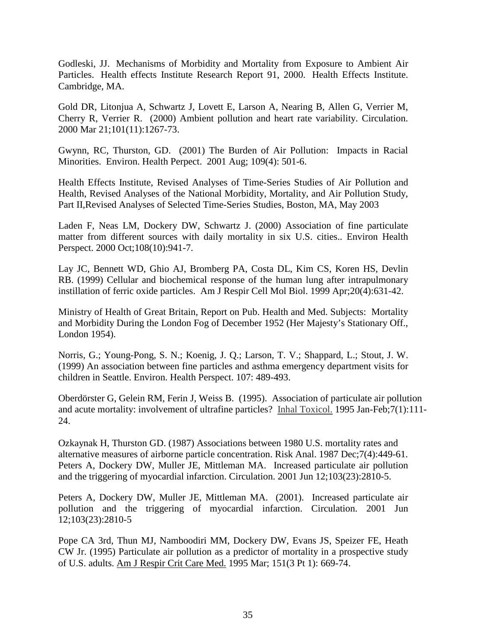Godleski, JJ. Mechanisms of Morbidity and Mortality from Exposure to Ambient Air Particles. Health effects Institute Research Report 91, 2000. Health Effects Institute. Cambridge, MA.

Gold DR, Litonjua A, Schwartz J, Lovett E, Larson A, Nearing B, Allen G, Verrier M, Cherry R, Verrier R. (2000) Ambient pollution and heart rate variability. Circulation. 2000 Mar 21;101(11):1267-73.

Gwynn, RC, Thurston, GD. (2001) The Burden of Air Pollution: Impacts in Racial Minorities. Environ. Health Perpect. 2001 Aug; 109(4): 501-6.

Health Effects Institute, Revised Analyses of Time-Series Studies of Air Pollution and Health, Revised Analyses of the National Morbidity, Mortality, and Air Pollution Study, Part II,Revised Analyses of Selected Time-Series Studies, Boston, MA, May 2003

Laden F, Neas LM, Dockery DW, Schwartz J. (2000) Association of fine particulate matter from different sources with daily mortality in six U.S. cities.. Environ Health Perspect. 2000 Oct;108(10):941-7.

Lay JC, Bennett WD, Ghio AJ, Bromberg PA, Costa DL, Kim CS, Koren HS, Devlin RB. (1999) Cellular and biochemical response of the human lung after intrapulmonary instillation of ferric oxide particles. Am J Respir Cell Mol Biol. 1999 Apr;20(4):631-42.

Ministry of Health of Great Britain, Report on Pub. Health and Med. Subjects: Mortality and Morbidity During the London Fog of December 1952 (Her Majesty's Stationary Off., London 1954).

Norris, G.; Young-Pong, S. N.; Koenig, J. Q.; Larson, T. V.; Shappard, L.; Stout, J. W. (1999) An association between fine particles and asthma emergency department visits for children in Seattle. Environ. Health Perspect. 107: 489-493.

Oberdörster G, Gelein RM, Ferin J, Weiss B. (1995). Association of particulate air pollution and acute mortality: involvement of ultrafine particles? Inhal Toxicol. 1995 Jan-Feb;7(1):111- 24.

Ozkaynak H, Thurston GD. (1987) Associations between 1980 U.S. mortality rates and alternative measures of airborne particle concentration. Risk Anal. 1987 Dec;7(4):449-61. Peters A, Dockery DW, Muller JE, Mittleman MA. Increased particulate air pollution and the triggering of myocardial infarction. Circulation. 2001 Jun 12;103(23):2810-5.

Peters A, Dockery DW, Muller JE, Mittleman MA. (2001). Increased particulate air pollution and the triggering of myocardial infarction. Circulation. 2001 Jun 12;103(23):2810-5

Pope CA 3rd, Thun MJ, Namboodiri MM, Dockery DW, Evans JS, Speizer FE, Heath CW Jr. (1995) Particulate air pollution as a predictor of mortality in a prospective study of U.S. adults. Am J Respir Crit Care Med. 1995 Mar; 151(3 Pt 1): 669-74.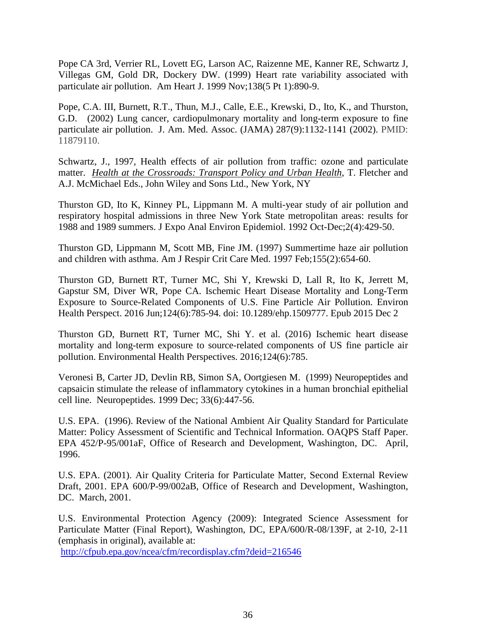Pope CA 3rd, Verrier RL, Lovett EG, Larson AC, Raizenne ME, Kanner RE, Schwartz J, Villegas GM, Gold DR, Dockery DW. (1999) Heart rate variability associated with particulate air pollution. Am Heart J. 1999 Nov;138(5 Pt 1):890-9.

Pope, C.A. III, Burnett, R.T., Thun, M.J., Calle, E.E., Krewski, D., Ito, K., and Thurston, G.D. (2002) Lung cancer, cardiopulmonary mortality and long-term exposure to fine particulate air pollution. J. Am. Med. Assoc. (JAMA) 287(9):1132-1141 (2002). PMID: 11879110.

Schwartz, J., 1997, Health effects of air pollution from traffic: ozone and particulate matter. *Health at the Crossroads: Transport Policy and Urban Health*, T. Fletcher and A.J. McMichael Eds., John Wiley and Sons Ltd., New York, NY

Thurston GD, Ito K, Kinney PL, Lippmann M. A multi-year study of air pollution and respiratory hospital admissions in three New York State metropolitan areas: results for 1988 and 1989 summers. J Expo Anal Environ Epidemiol. 1992 Oct-Dec;2(4):429-50.

Thurston GD, Lippmann M, Scott MB, Fine JM. (1997) Summertime haze air pollution and children with asthma. Am J Respir Crit Care Med. 1997 Feb;155(2):654-60.

Thurston GD, Burnett RT, Turner MC, Shi Y, Krewski D, Lall R, Ito K, Jerrett M, Gapstur SM, Diver WR, Pope CA. Ischemic Heart Disease Mortality and Long-Term Exposure to Source-Related Components of U.S. Fine Particle Air Pollution. Environ Health Perspect. 2016 Jun;124(6):785-94. doi: 10.1289/ehp.1509777. Epub 2015 Dec 2

Thurston GD, Burnett RT, Turner MC, Shi Y. et al. (2016) Ischemic heart disease mortality and long-term exposure to source-related components of US fine particle air pollution. Environmental Health Perspectives. 2016;124(6):785.

Veronesi B, Carter JD, Devlin RB, Simon SA, Oortgiesen M. (1999) Neuropeptides and capsaicin stimulate the release of inflammatory cytokines in a human bronchial epithelial cell line. Neuropeptides. 1999 Dec; 33(6):447-56.

U.S. EPA. (1996). Review of the National Ambient Air Quality Standard for Particulate Matter: Policy Assessment of Scientific and Technical Information. OAQPS Staff Paper. EPA 452/P-95/001aF, Office of Research and Development, Washington, DC. April, 1996.

U.S. EPA. (2001). Air Quality Criteria for Particulate Matter, Second External Review Draft, 2001. EPA 600/P-99/002aB, Office of Research and Development, Washington, DC. March, 2001.

U.S. Environmental Protection Agency (2009): Integrated Science Assessment for Particulate Matter (Final Report), Washington, DC, EPA/600/R-08/139F, at 2-10, 2-11 (emphasis in original), available at:

<http://cfpub.epa.gov/ncea/cfm/recordisplay.cfm?deid=216546>